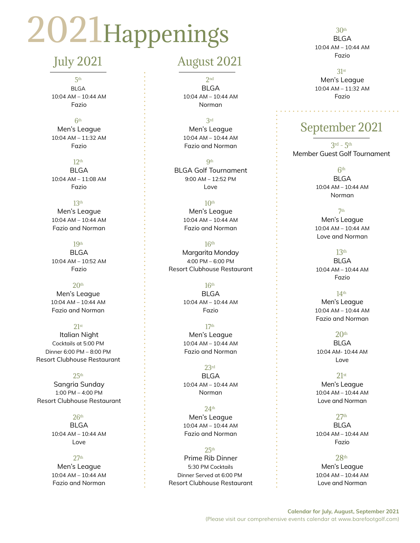# 2021Happenings

## July 2021

5th BLGA 10:04 AM – 10:44 AM Fazio

6th Men's League 10:04 AM – 11:32 AM Fazio

12th BLGA 10:04 AM – 11:08 AM Fazio

13th Men's League 10:04 AM – 10:44 AM Fazio and Norman

19th BLGA 10:04 AM – 10:52 AM Fazio

 $20<sup>th</sup>$ Men's League 10:04 AM – 10:44 AM Fazio and Norman

 $21st$  Italian Night Cocktails at 5:00 PM Dinner 6:00 PM – 8:00 PM Resort Clubhouse Restaurant

25th Sangria Sunday 1:00 PM – 4:00 PM Resort Clubhouse Restaurant

> $26th$  BLGA 10:04 AM – 10:44 AM Love

27th Men's League 10:04 AM – 10:44 AM Fazio and Norman

### August 2021

2nd BLGA 10:04 AM – 10:44 AM Norman

3rd Men's League 10:04 AM – 10:44 AM

Fazio and Norman

**Qth**  BLGA Golf Tournament 9:00 AM – 12:52 PM Love

> $10<sup>th</sup>$  Men's League 10:04 AM – 10:44 AM Fazio and Norman

 $16<sup>th</sup>$  Margarita Monday 4:00 PM – 6:00 PM Resort Clubhouse Restaurant

> $16<sup>th</sup>$  BLGA 10:04 AM – 10:44 AM Fazio

17th Men's League 10:04 AM – 10:44 AM Fazio and Norman

23rd BLGA 10:04 AM – 10:44 AM Norman

24th Men's League 10:04 AM – 10:44 AM Fazio and Norman

 $25<sup>th</sup>$  Prime Rib Dinner 5:30 PM Cocktails Dinner Served at 6:00 PM Resort Clubhouse Restaurant

30th **BLGA**  10:04 AM – 10:44 AM Fazio

31st

 Men's League 10:04 AM – 11:32 AM Fazio

# September 2021

 $3rd - 5th$ Member Guest Golf Tournament

> 6th BLGA 10:04 AM – 10:44 AM Norman

7th Men's League 10:04 AM – 10:44 AM Love and Norman

13th BLGA 10:04 AM – 10:44 AM Fazio

14th Men's League 10:04 AM – 10:44 AM Fazio and Norman

20th BLGA 10:04 AM- 10:44 AM Love

21st Men's League 10:04 AM – 10:44 AM Love and Norman

 $27<sub>th</sub>$  BLGA 10:04 AM – 10:44 AM Fazio

28th Men's League 10:04 AM – 10:44 AM Love and Norman